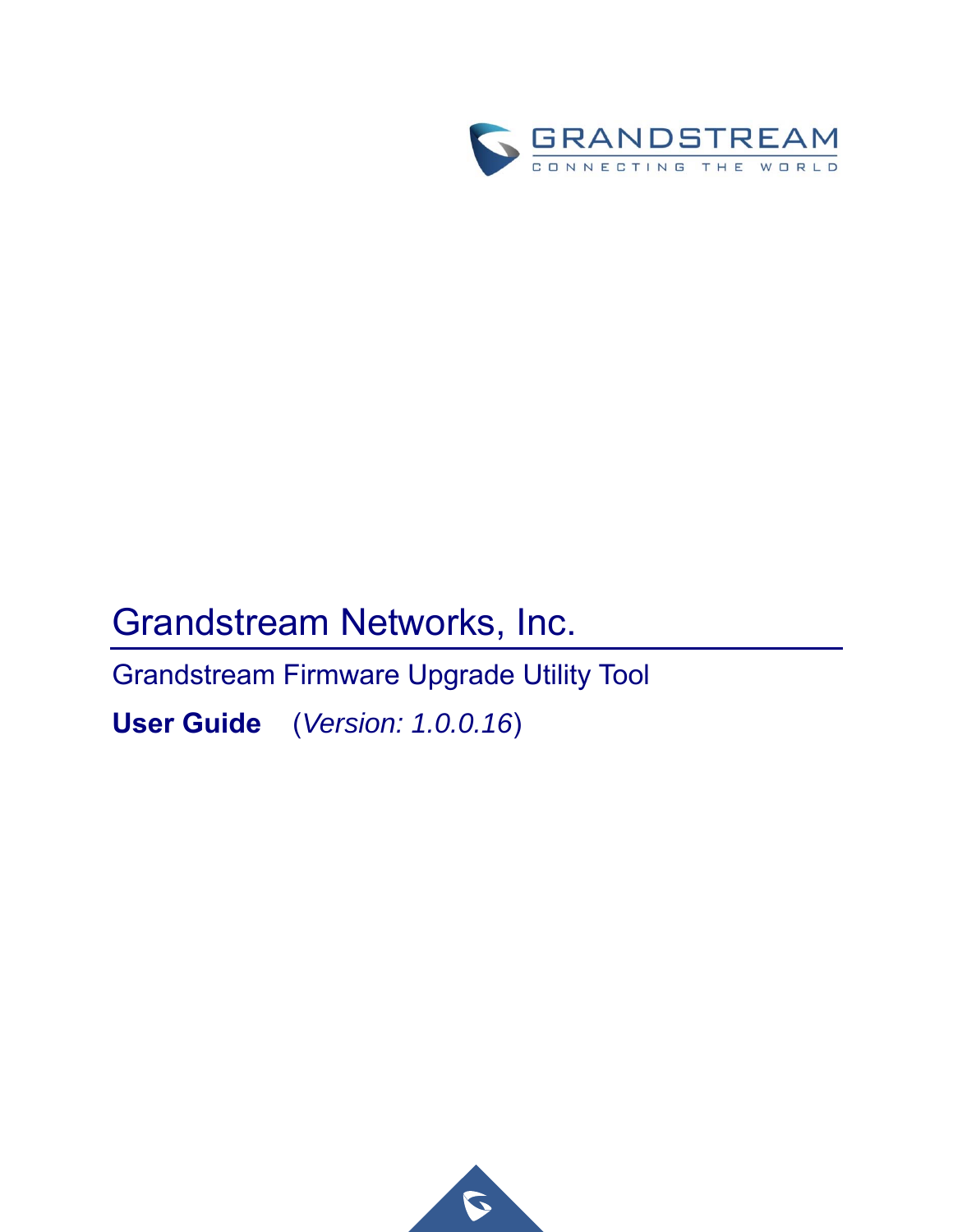

# Grandstream Networks, Inc.

Grandstream Firmware Upgrade Utility Tool

**User Guide** (*Version: 1.0.0.16*)

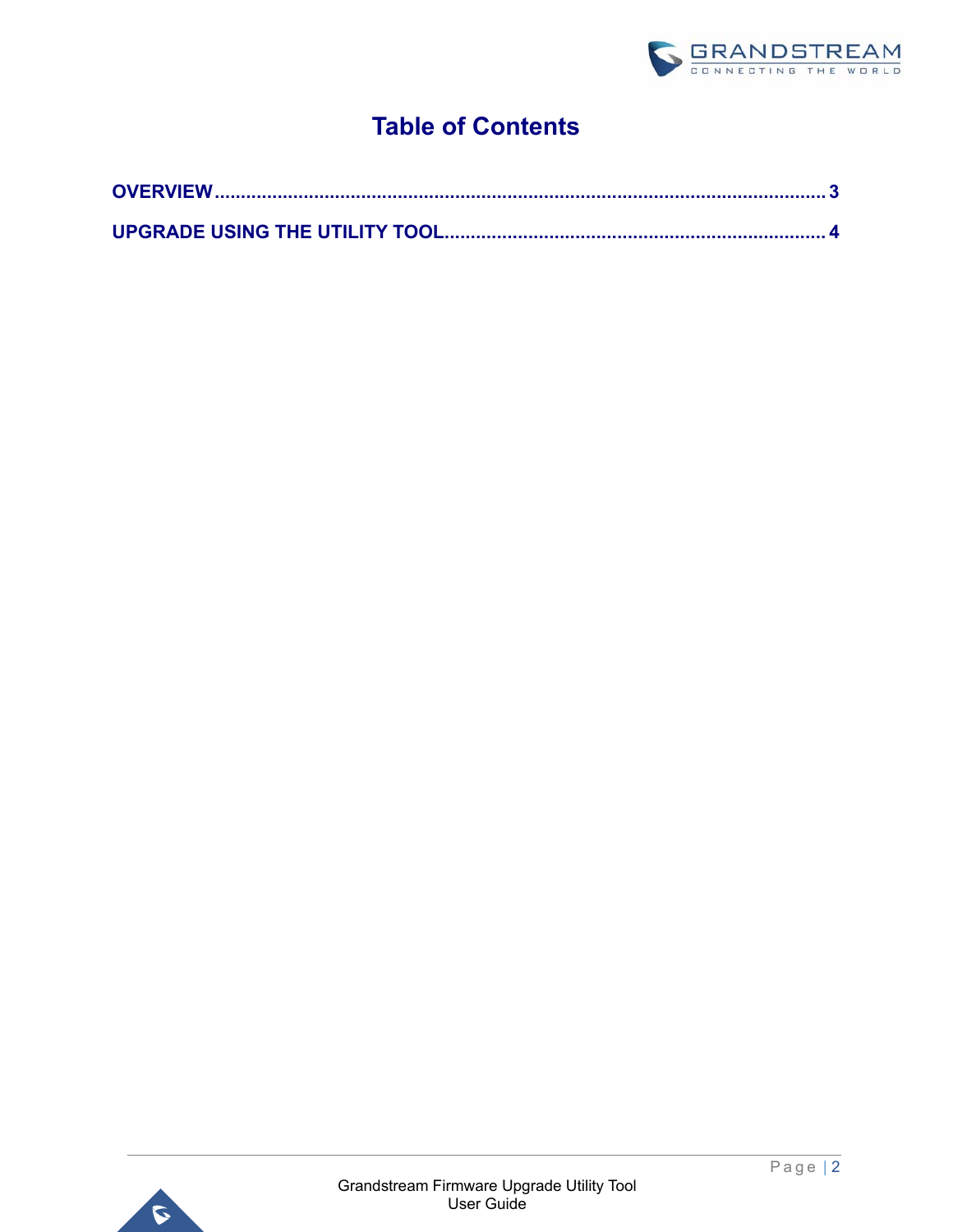

# **Table of Contents**

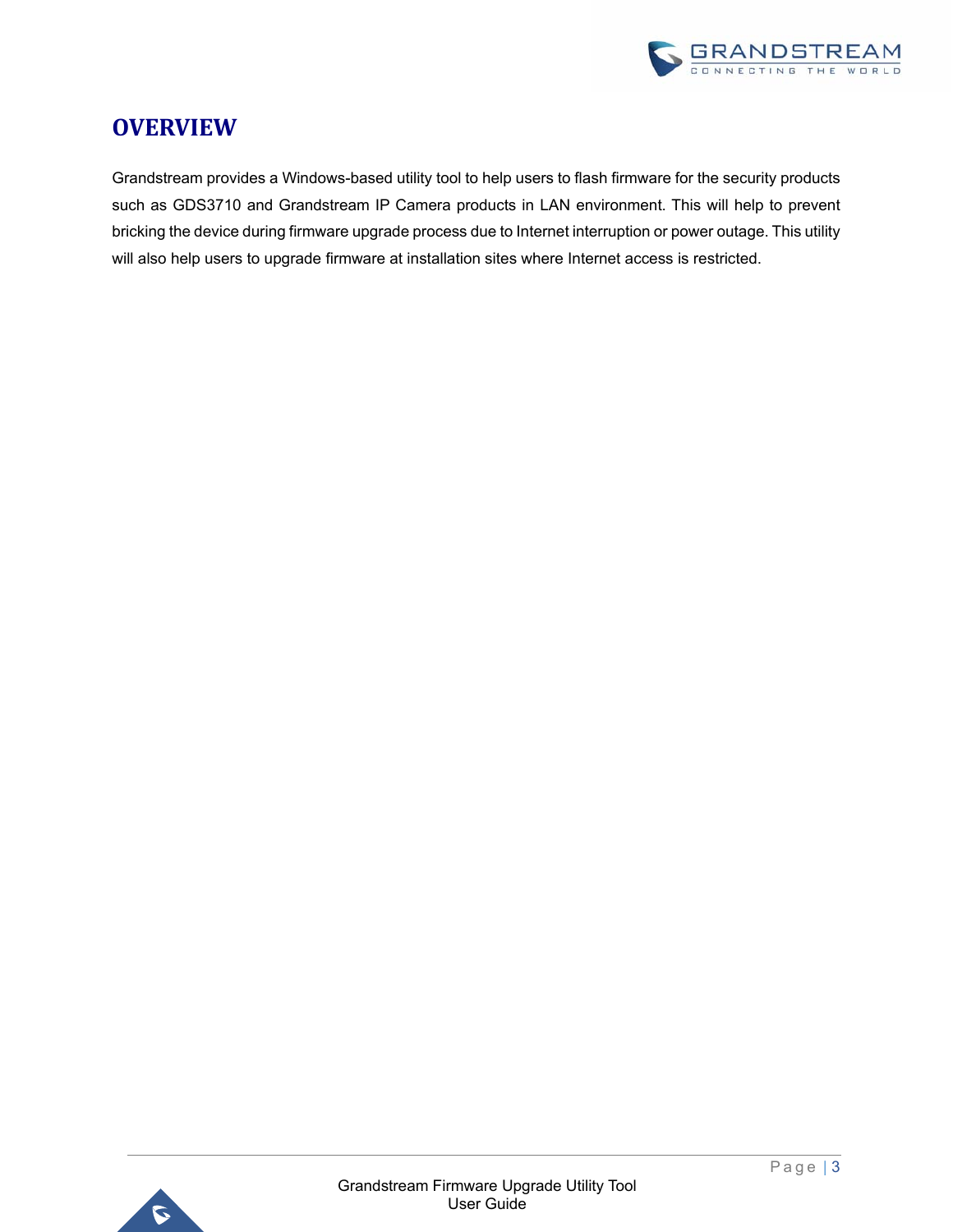

### **OVERVIEW**

Grandstream provides a Windows-based utility tool to help users to flash firmware for the security products such as GDS3710 and Grandstream IP Camera products in LAN environment. This will help to prevent bricking the device during firmware upgrade process due to Internet interruption or power outage. This utility will also help users to upgrade firmware at installation sites where Internet access is restricted.

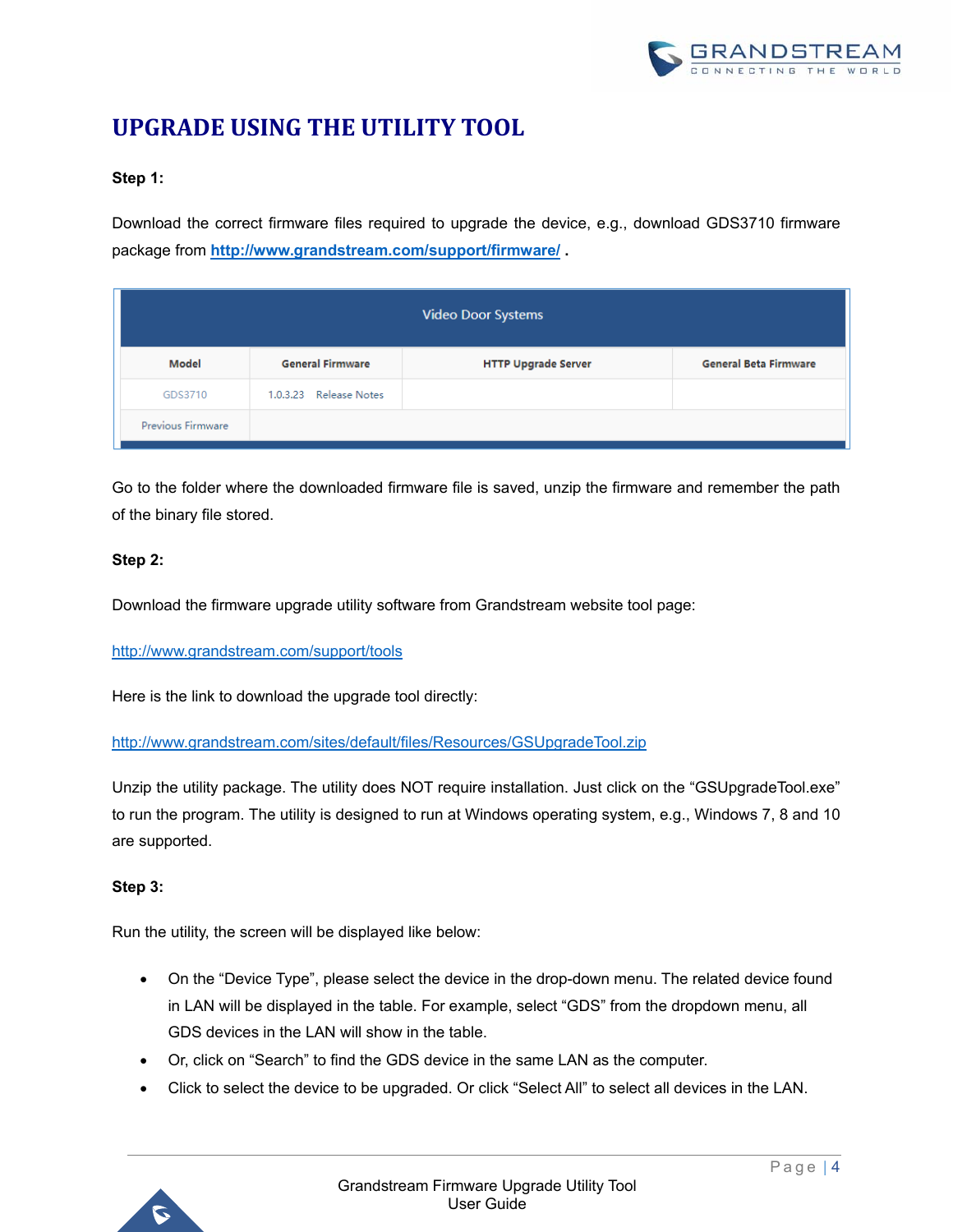

## **UPGRADE USING THE UTILITY TOOL**

#### **Step 1:**

Download the correct firmware files required to upgrade the device, e.g., download GDS3710 firmware package from **http://www.grandstream.com/support/firmware/ .**

| <b>Video Door Systems</b> |                         |                            |                              |  |  |  |  |  |  |
|---------------------------|-------------------------|----------------------------|------------------------------|--|--|--|--|--|--|
| Model                     | <b>General Firmware</b> | <b>HTTP Upgrade Server</b> | <b>General Beta Firmware</b> |  |  |  |  |  |  |
| GDS3710                   | 1.0.3.23 Release Notes  |                            |                              |  |  |  |  |  |  |
| Previous Firmware         |                         |                            |                              |  |  |  |  |  |  |

Go to the folder where the downloaded firmware file is saved, unzip the firmware and remember the path of the binary file stored.

#### **Step 2:**

Download the firmware upgrade utility software from Grandstream website tool page:

http://www.grandstream.com/support/tools

Here is the link to download the upgrade tool directly:

http://www.grandstream.com/sites/default/files/Resources/GSUpgradeTool.zip

Unzip the utility package. The utility does NOT require installation. Just click on the "GSUpgradeTool.exe" to run the program. The utility is designed to run at Windows operating system, e.g., Windows 7, 8 and 10 are supported.

#### **Step 3:**

Run the utility, the screen will be displayed like below:

- On the "Device Type", please select the device in the drop-down menu. The related device found in LAN will be displayed in the table. For example, select "GDS" from the dropdown menu, all GDS devices in the LAN will show in the table.
- Or, click on "Search" to find the GDS device in the same LAN as the computer.
- Click to select the device to be upgraded. Or click "Select All" to select all devices in the LAN.

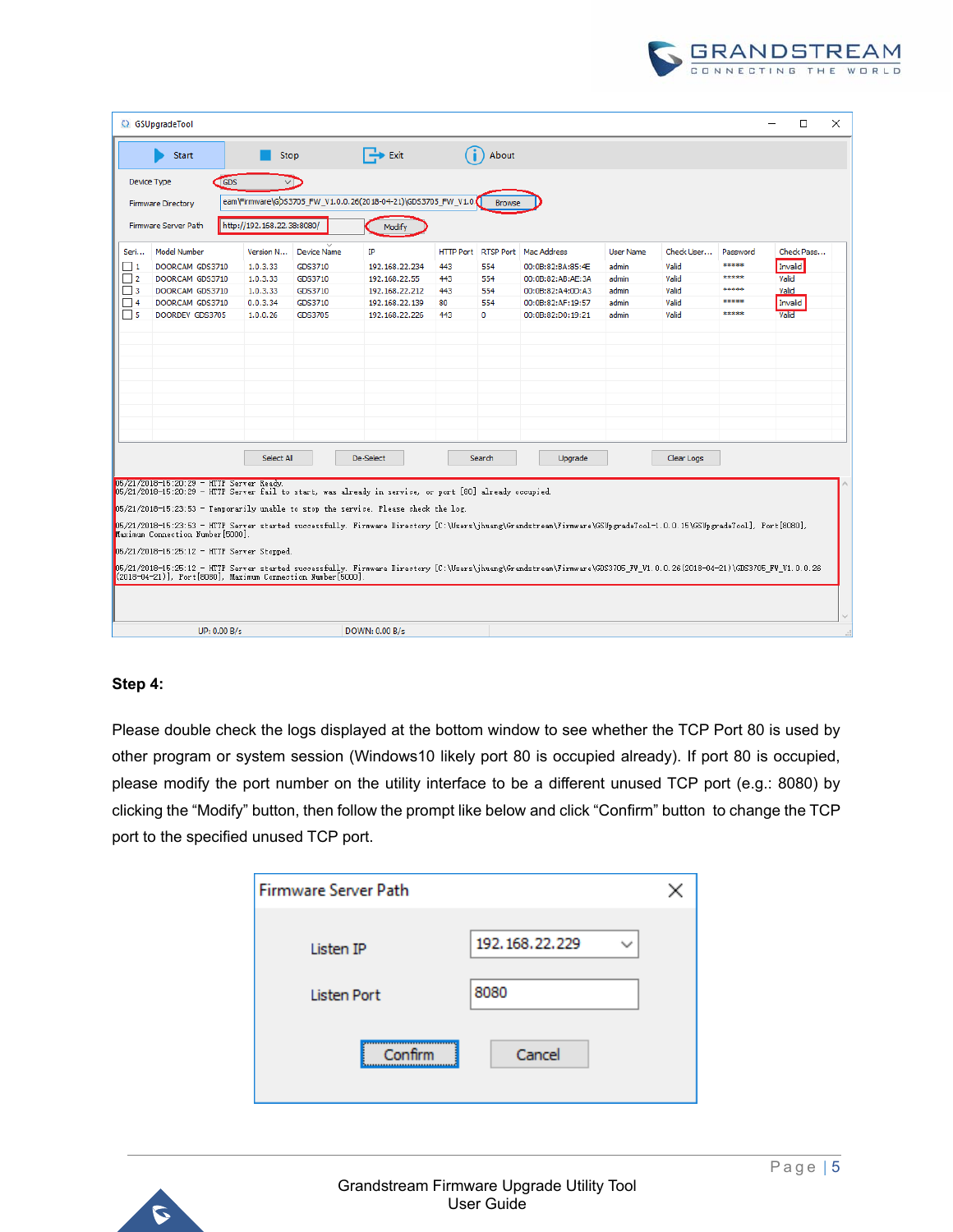

|                                                                                                                                                                                                                                                                                                                                                                                                                                                                                                                                                                                                                                                                                                                                                     | C GSUpgradeTool                |                            |            |                    |                                                                |     |                            |                    |                  |            |          | □          | $\times$ |
|-----------------------------------------------------------------------------------------------------------------------------------------------------------------------------------------------------------------------------------------------------------------------------------------------------------------------------------------------------------------------------------------------------------------------------------------------------------------------------------------------------------------------------------------------------------------------------------------------------------------------------------------------------------------------------------------------------------------------------------------------------|--------------------------------|----------------------------|------------|--------------------|----------------------------------------------------------------|-----|----------------------------|--------------------|------------------|------------|----------|------------|----------|
|                                                                                                                                                                                                                                                                                                                                                                                                                                                                                                                                                                                                                                                                                                                                                     | <b>Start</b>                   |                            | Stop       |                    | $\Rightarrow$ Exit                                             |     | About                      |                    |                  |            |          |            |          |
|                                                                                                                                                                                                                                                                                                                                                                                                                                                                                                                                                                                                                                                                                                                                                     | Device Type                    | <b>GDS</b>                 |            |                    |                                                                |     |                            |                    |                  |            |          |            |          |
|                                                                                                                                                                                                                                                                                                                                                                                                                                                                                                                                                                                                                                                                                                                                                     | <b>Firmware Directory</b>      |                            |            |                    | eam\Firmware\GDS3705_FW_V1.0.0.26(2018-04-21)\GDS3705_FW_V1.0. |     | <b>Browse</b>              |                    |                  |            |          |            |          |
|                                                                                                                                                                                                                                                                                                                                                                                                                                                                                                                                                                                                                                                                                                                                                     |                                |                            |            |                    |                                                                |     |                            |                    |                  |            |          |            |          |
|                                                                                                                                                                                                                                                                                                                                                                                                                                                                                                                                                                                                                                                                                                                                                     | <b>Firmware Server Path</b>    | http://192.168.22.38:8080/ |            |                    | Modify                                                         |     |                            |                    |                  |            |          |            |          |
| Seri                                                                                                                                                                                                                                                                                                                                                                                                                                                                                                                                                                                                                                                                                                                                                | <b>Model Number</b>            |                            | Version N  | <b>Device Name</b> | IP                                                             |     | <b>HTTP Port RTSP Port</b> | <b>Mac Address</b> | <b>User Name</b> | Check User | Password | Check Pass |          |
| $\Box$ 1                                                                                                                                                                                                                                                                                                                                                                                                                                                                                                                                                                                                                                                                                                                                            | DOORCAM GDS3710                | 1.0.3.33                   |            | GDS3710            | 192.168.22.234                                                 | 443 | 554                        | 00:0B:82:BA:85:4E  | admin            | Valid      | *****    | Invalid    |          |
| $\Box$ 2                                                                                                                                                                                                                                                                                                                                                                                                                                                                                                                                                                                                                                                                                                                                            | DOORCAM GDS3710                | 1.0.3.33                   |            | GDS3710            | 192, 168, 22, 55                                               | 443 | 554                        | 00:0B:82:AB:AE:3A  | admin            | Valid      | *****    | Valid      |          |
| $\Box$ 3                                                                                                                                                                                                                                                                                                                                                                                                                                                                                                                                                                                                                                                                                                                                            | DOORCAM GDS3710                | 1.0.3.33                   |            | GDS3710            | 192.168.22.212                                                 | 443 | 554                        | 00:0B:82:A4:0D:A3  | admin            | Valid      | *****    | Valid      |          |
| $\Box$ 4                                                                                                                                                                                                                                                                                                                                                                                                                                                                                                                                                                                                                                                                                                                                            | DOORCAM GDS3710                | 0.0.3.34                   |            | GDS3710            | 192.168.22.139                                                 | 80  | 554                        | 00:0B:82:AF:19:57  | admin            | Valid      | *****    | Invalid    |          |
| $\Box$ 5                                                                                                                                                                                                                                                                                                                                                                                                                                                                                                                                                                                                                                                                                                                                            | DOORDEV GDS3705                | 1.0.0.26                   |            | GDS3705            | 192.168.22.226                                                 | 443 | o                          | 00:0B:82:D0:19:21  | admin            | Valid      | *****    | Valid      |          |
|                                                                                                                                                                                                                                                                                                                                                                                                                                                                                                                                                                                                                                                                                                                                                     |                                |                            |            |                    |                                                                |     |                            |                    |                  |            |          |            |          |
|                                                                                                                                                                                                                                                                                                                                                                                                                                                                                                                                                                                                                                                                                                                                                     |                                |                            | Select All |                    | De-Select                                                      |     | Search                     | Upgrade            |                  | Clear Logs |          |            |          |
| 05/21/2018-15:20:29 - HTTP Server Ready.<br>05/21/2018-15:20:29 - HTTP Server fail to start, was already in service, or port [80] already occupied.<br>05/21/2018-15:23:53 - Temporarily unable to stop the service. Please check the log.<br>(1800), p5/21/2018-15:23:53 - HTTP Server started successfully. Firmware Directory [C:\Users\jhuang\Grandstream\Firmware\GSUpgradeTool-1.0.0.15\GSUpgradeTool], Port[8080],<br>Maximum Connection Number [5000]<br>05/21/2018-15:25:12 - HTTP Server Stopped.<br>05/21/2018-15:25:12 - HTTP Server started successfully. Firmware Directory [C:\Users\jhuang\Grandstream\Firmware\GDS3705_FW_V1.0.0.26(2018-04-21)\GDS3705_FW_V1.0.0.26<br>(2018-04-21)], Port[8080], Maximum Connection Number[5000] |                                |                            |            |                    |                                                                |     |                            |                    |                  |            |          |            |          |
|                                                                                                                                                                                                                                                                                                                                                                                                                                                                                                                                                                                                                                                                                                                                                     | UP: 0.00 B/s<br>DOWN: 0.00 B/s |                            |            |                    |                                                                |     |                            |                    |                  |            |          |            |          |

#### **Step 4:**

Please double check the logs displayed at the bottom window to see whether the TCP Port 80 is used by other program or system session (Windows10 likely port 80 is occupied already). If port 80 is occupied, please modify the port number on the utility interface to be a different unused TCP port (e.g.: 8080) by clicking the "Modify" button, then follow the prompt like below and click "Confirm" button to change the TCP port to the specified unused TCP port.

| <b>Firmware Server Path</b> |                   |  |
|-----------------------------|-------------------|--|
| Listen IP                   | 192, 168, 22, 229 |  |
| <b>Listen Port</b>          | 8080              |  |
| <br>Confirm                 | Cancel            |  |

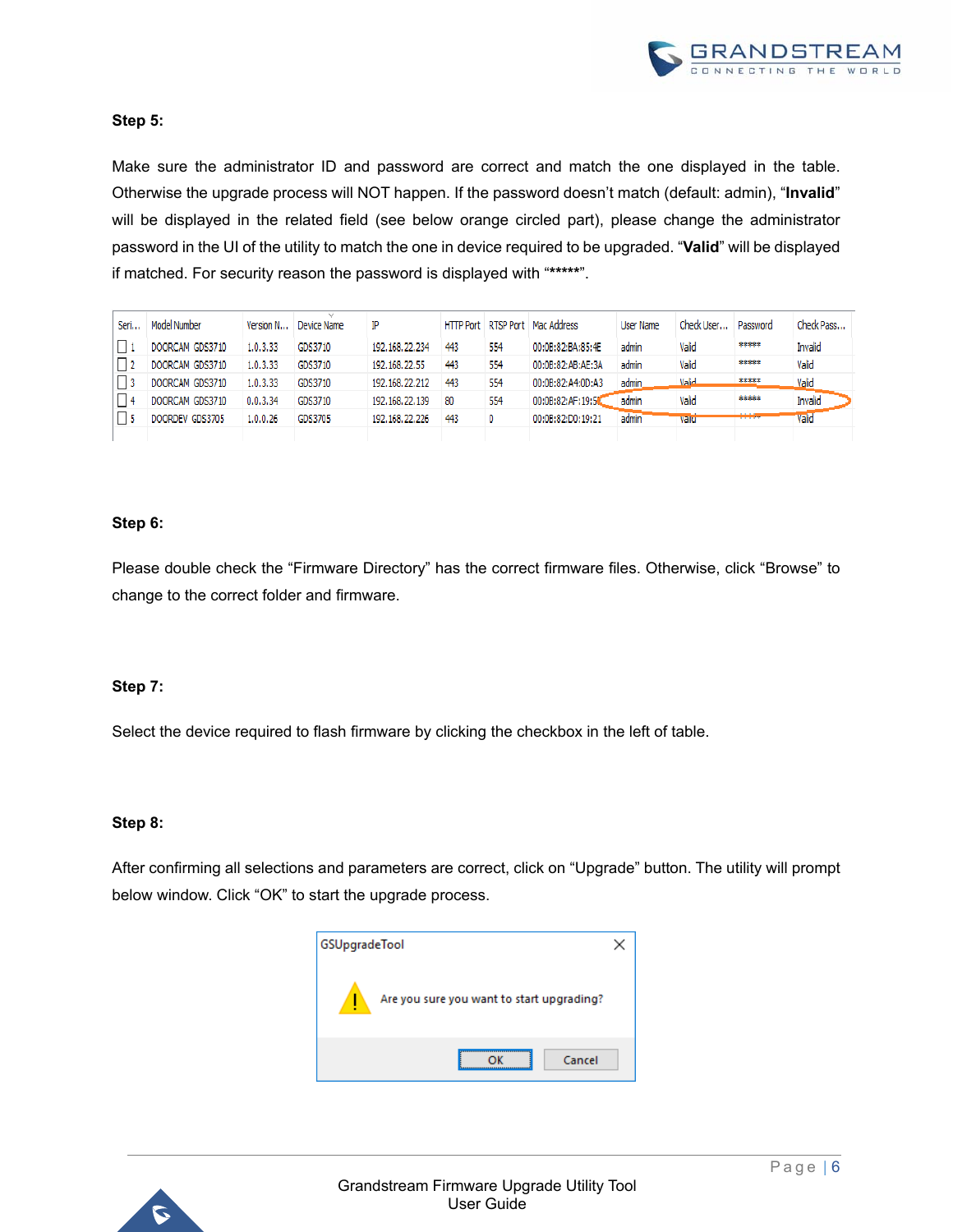

#### **Step 5:**

Make sure the administrator ID and password are correct and match the one displayed in the table. Otherwise the upgrade process will NOT happen. If the password doesn't match (default: admin), "**Invalid**" will be displayed in the related field (see below orange circled part), please change the administrator password in the UI of the utility to match the one in device required to be upgraded. "**Valid**" will be displayed if matched. For security reason the password is displayed with "**\*\*\*\*\***".

| Seri | Model Number    | Version N | Device Name | ΙP                |     |     | HTTP Port RTSP Port   Mac Address | User Name | Check User   | Password | Check Pass |
|------|-----------------|-----------|-------------|-------------------|-----|-----|-----------------------------------|-----------|--------------|----------|------------|
|      | DOORCAM GDS3710 | 1.0.3.33  | GDS3710     | 192, 168, 22, 234 | 443 | 554 | 00:0B:82:BA:85:4E                 | admin     | Valid        | *****    | Invalid    |
|      | DOORCAM GDS3710 | 1.0.3.33  | GDS3710     | 192, 168, 22, 55  | 443 | 554 | 00:0B:82:AB:AE:3A                 | admin     | Valid        | *****    | Valid      |
|      | DOORCAM GDS3710 | 1.0.3.33  | GDS3710     | 192, 168, 22, 212 | 443 | 554 | 00:0B:82:A4:0D:A3                 | admin     | <b>Valid</b> | *****    | Valid      |
|      | DOORCAM GDS3710 | 0.0.3.34  | GDS3710     | 192, 168, 22, 139 | -80 | 554 | 00:0B:82:AF:19:50                 | admin     | Valid        | *****    | Invalid    |
|      | DOORDEV GDS3705 | 1.0.0.26  | GDS3705     | 192, 168, 22, 226 | 443 | 0   | 00:0B:82:D0:19:21                 | admin     | Vallo        | الإدادات | Valid      |
|      |                 |           |             |                   |     |     |                                   |           |              |          |            |

#### **Step 6:**

Please double check the "Firmware Directory" has the correct firmware files. Otherwise, click "Browse" to change to the correct folder and firmware.

#### **Step 7:**

Select the device required to flash firmware by clicking the checkbox in the left of table.

#### **Step 8:**

After confirming all selections and parameters are correct, click on "Upgrade" button. The utility will prompt below window. Click "OK" to start the upgrade process.



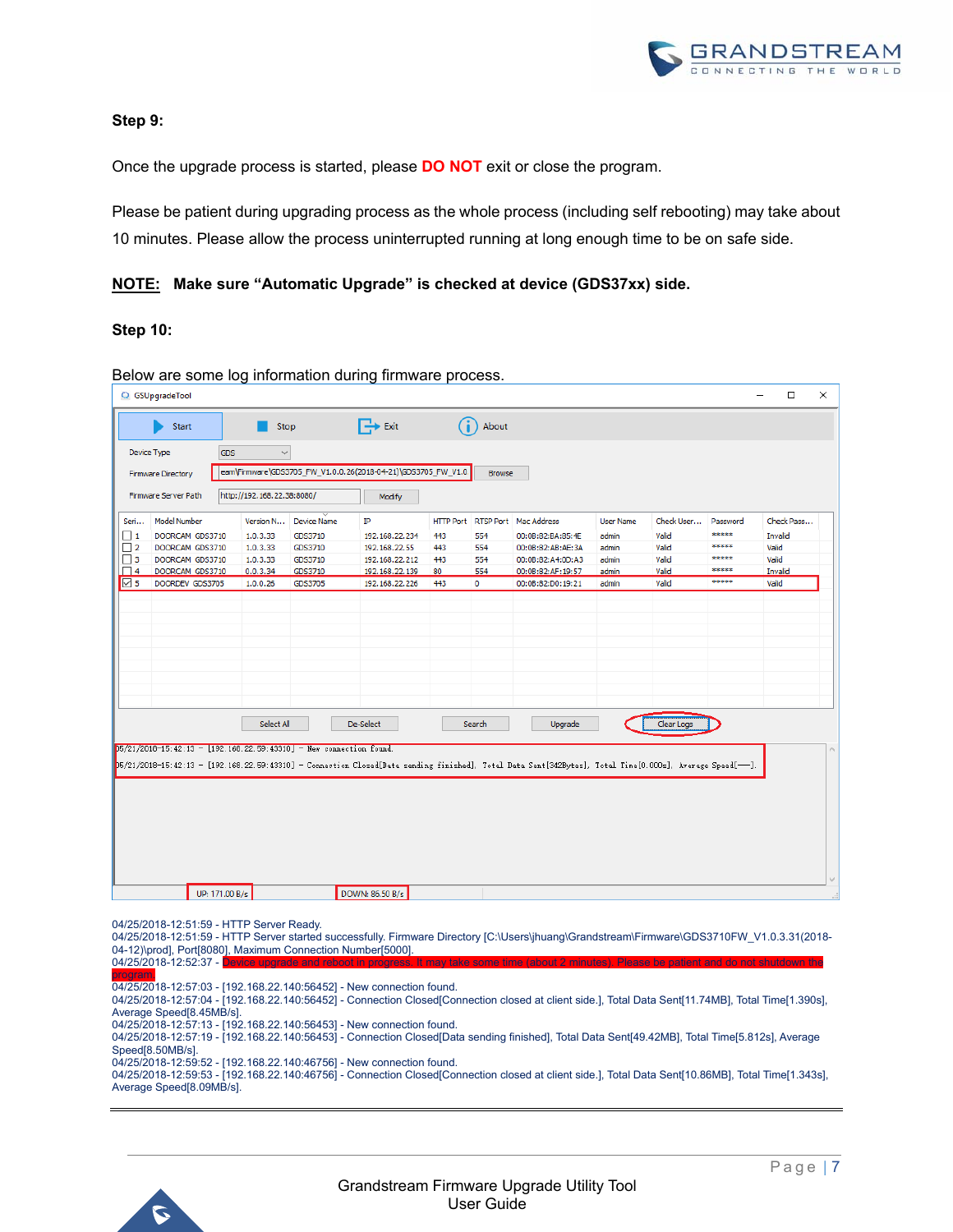

#### **Step 9:**

Once the upgrade process is started, please **DO NOT** exit or close the program.

Please be patient during upgrading process as the whole process (including self rebooting) may take about 10 minutes. Please allow the process uninterrupted running at long enough time to be on safe side.

#### **NOTE: Make sure "Automatic Upgrade" is checked at device (GDS37xx) side.**

#### **Step 10:**

|                                                                                                                                                                                                                                    | C GSUpgradeTool           |            |                            |                    | Delow are some log imomination during immware process.         |     |               |                                 |                  |            |          | □          | $\times$ |
|------------------------------------------------------------------------------------------------------------------------------------------------------------------------------------------------------------------------------------|---------------------------|------------|----------------------------|--------------------|----------------------------------------------------------------|-----|---------------|---------------------------------|------------------|------------|----------|------------|----------|
|                                                                                                                                                                                                                                    | Start                     |            | Stop                       |                    | $\mathbb{R}$ Exit                                              |     | About         |                                 |                  |            |          |            |          |
| Device Type                                                                                                                                                                                                                        |                           | <b>GDS</b> | $\checkmark$               |                    |                                                                |     |               |                                 |                  |            |          |            |          |
|                                                                                                                                                                                                                                    | <b>Firmware Directory</b> |            |                            |                    | eam\Firmware\GDS3705_FW_V1.0.0.26(2018-04-21)\GDS3705_FW_V1.0. |     | <b>Browse</b> |                                 |                  |            |          |            |          |
|                                                                                                                                                                                                                                    |                           |            |                            |                    |                                                                |     |               |                                 |                  |            |          |            |          |
|                                                                                                                                                                                                                                    | Firmware Server Path      |            | http://192.168.22.38:8080/ |                    | Modify                                                         |     |               |                                 |                  |            |          |            |          |
| Seri                                                                                                                                                                                                                               | Model Number              |            | Version N                  | <b>Device Name</b> | ΙP                                                             |     |               | HTTP Port RTSP Port Mac Address | <b>User Name</b> | Check User | Password | Check Pass |          |
| $\Box$ 1                                                                                                                                                                                                                           | DOORCAM GDS3710           |            | 1.0.3.33                   | GDS3710            | 192.168.22.234                                                 | 443 | 554           | 00:0B:82:BA:85:4E               | admin            | Valid      | *****    | Invalid    |          |
| $\Box$ 2                                                                                                                                                                                                                           | DOORCAM GDS3710           |            | 1.0.3.33                   | GDS3710            | 192.168.22.55                                                  | 443 | 554           | 00:0B:82:AB:AE:3A               | admin            | Valid      | *****    | Valid      |          |
| $\Box$ 3                                                                                                                                                                                                                           | DOORCAM GDS3710           |            | 1.0.3.33                   | GDS3710            | 192.168.22.212                                                 | 443 | 554           | 00:0B:82:A4:0D:A3               | admin            | Valid      | *****    | Valid      |          |
| $\Box$ 4                                                                                                                                                                                                                           | DOORCAM GDS3710           |            | 0.0.3.34                   | GDS3710            | 192.168.22.139                                                 | 80  | 554           | 00:0B:82:AF:19:57               | admin            | Valid      | *****    | Invalid    |          |
| $\triangleright$ 5                                                                                                                                                                                                                 | DOORDEV GDS3705           |            | 1.0.0.26                   | GDS3705            | 192.168.22.226                                                 | 443 | 0             | 00:0B:82:D0:19:21               | admin            | Valid      | *****    | Valid      |          |
|                                                                                                                                                                                                                                    |                           |            | Select All                 |                    | De-Select                                                      |     | Search        | Upgrade                         |                  | Clear Logs |          |            |          |
| $05/21/2018-15:42:13 = [192.168.22.59:43310] =$ New connection found.<br>D5/21/2018-15:42:13 - [192.168.22.59:43310] - Connection Closed[Data sending finished], Total Data Sent[342Bytes], Total Time[0.000s], Average Speed[--]. |                           |            |                            |                    |                                                                |     |               |                                 |                  |            |          |            |          |
|                                                                                                                                                                                                                                    |                           |            |                            |                    |                                                                |     |               |                                 |                  |            |          |            |          |
|                                                                                                                                                                                                                                    |                           |            |                            |                    |                                                                |     |               |                                 |                  |            |          |            |          |
|                                                                                                                                                                                                                                    |                           |            |                            |                    |                                                                |     |               |                                 |                  |            |          |            |          |

Below are some log information during firmware process.

04/25/2018-12:51:59 - HTTP Server Ready.

04/25/2018-12:51:59 - HTTP Server started successfully. Firmware Directory [C:\Users\jhuang\Grandstream\Firmware\GDS3710FW\_V1.0.3.31(2018- 04-12)\prod], Port[8080], Maximum Connection Number[5000].  $04/25/2018-12:52:37 -$ 

program.

04/25/2018-12:57:03 - [192.168.22.140:56452] - New connection found.

04/25/2018-12:57:04 - [192.168.22.140:56452] - Connection Closed[Connection closed at client side.], Total Data Sent[11.74MB], Total Time[1.390s], Average Speed[8.45MB/s]. 04/25/2018-12:57:13 - [192.168.22.140:56453] - New connection found. 04/25/2018-12:57:19 - [192.168.22.140:56453] - Connection Closed[Data sending finished], Total Data Sent[49.42MB], Total Time[5.812s], Average Speed[8.50MB/s]. 04/25/2018-12:59:52 - [192.168.22.140:46756] - New connection found. 04/25/2018-12:59:53 - [192.168.22.140:46756] - Connection Closed[Connection closed at client side.], Total Data Sent[10.86MB], Total Time[1.343s], Average Speed[8.09MB/s].